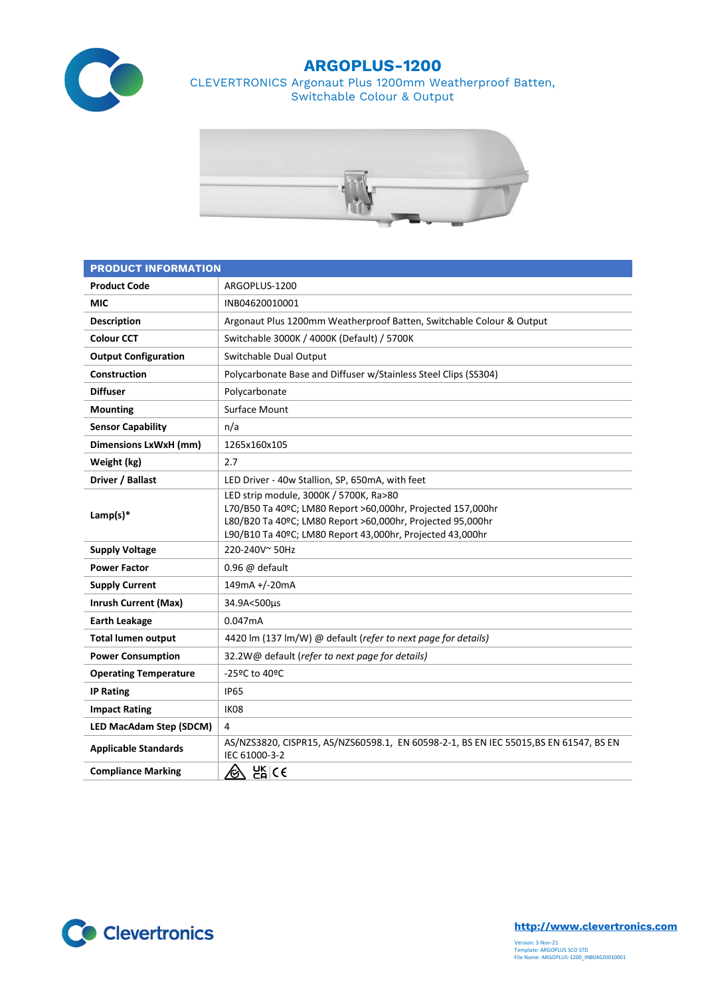

## **ARGOPLUS-1200**

CLEVERTRONICS Argonaut Plus 1200mm Weatherproof Batten, Switchable Colour & Output



| <b>PRODUCT INFORMATION</b>     |                                                                                                                                                                                                                                  |  |  |
|--------------------------------|----------------------------------------------------------------------------------------------------------------------------------------------------------------------------------------------------------------------------------|--|--|
| <b>Product Code</b>            | ARGOPLUS-1200                                                                                                                                                                                                                    |  |  |
| <b>MIC</b>                     | INB04620010001                                                                                                                                                                                                                   |  |  |
| <b>Description</b>             | Argonaut Plus 1200mm Weatherproof Batten, Switchable Colour & Output                                                                                                                                                             |  |  |
| <b>Colour CCT</b>              | Switchable 3000K / 4000K (Default) / 5700K                                                                                                                                                                                       |  |  |
| <b>Output Configuration</b>    | Switchable Dual Output                                                                                                                                                                                                           |  |  |
| <b>Construction</b>            | Polycarbonate Base and Diffuser w/Stainless Steel Clips (SS304)                                                                                                                                                                  |  |  |
| <b>Diffuser</b>                | Polycarbonate                                                                                                                                                                                                                    |  |  |
| <b>Mounting</b>                | Surface Mount                                                                                                                                                                                                                    |  |  |
| <b>Sensor Capability</b>       | n/a                                                                                                                                                                                                                              |  |  |
| <b>Dimensions LxWxH (mm)</b>   | 1265x160x105                                                                                                                                                                                                                     |  |  |
| Weight (kg)                    | 2.7                                                                                                                                                                                                                              |  |  |
| Driver / Ballast               | LED Driver - 40w Stallion, SP, 650mA, with feet                                                                                                                                                                                  |  |  |
| Lamp $(s)^*$                   | LED strip module, 3000K / 5700K, Ra>80<br>L70/B50 Ta 40ºC; LM80 Report >60,000hr, Projected 157,000hr<br>L80/B20 Ta 40ºC; LM80 Report >60,000hr, Projected 95,000hr<br>L90/B10 Ta 40ºC; LM80 Report 43,000hr, Projected 43,000hr |  |  |
| <b>Supply Voltage</b>          | 220-240V~50Hz                                                                                                                                                                                                                    |  |  |
| <b>Power Factor</b>            | $0.96 \omega$ default                                                                                                                                                                                                            |  |  |
| <b>Supply Current</b>          | 149mA +/-20mA                                                                                                                                                                                                                    |  |  |
| <b>Inrush Current (Max)</b>    | 34.9A<500µs                                                                                                                                                                                                                      |  |  |
| <b>Earth Leakage</b>           | 0.047mA                                                                                                                                                                                                                          |  |  |
| <b>Total lumen output</b>      | 4420 lm (137 lm/W) @ default (refer to next page for details)                                                                                                                                                                    |  |  |
| <b>Power Consumption</b>       | 32.2W@ default (refer to next page for details)                                                                                                                                                                                  |  |  |
| <b>Operating Temperature</b>   | -25ºC to 40ºC                                                                                                                                                                                                                    |  |  |
| <b>IP Rating</b>               | <b>IP65</b>                                                                                                                                                                                                                      |  |  |
| <b>Impact Rating</b>           | IK08                                                                                                                                                                                                                             |  |  |
| <b>LED MacAdam Step (SDCM)</b> | 4                                                                                                                                                                                                                                |  |  |
| <b>Applicable Standards</b>    | AS/NZS3820, CISPR15, AS/NZS60598.1, EN 60598-2-1, BS EN IEC 55015, BS EN 61547, BS EN<br>IEC 61000-3-2                                                                                                                           |  |  |
| <b>Compliance Marking</b>      | <u>/&amp;</u><br>$EK$ $\leq$                                                                                                                                                                                                     |  |  |